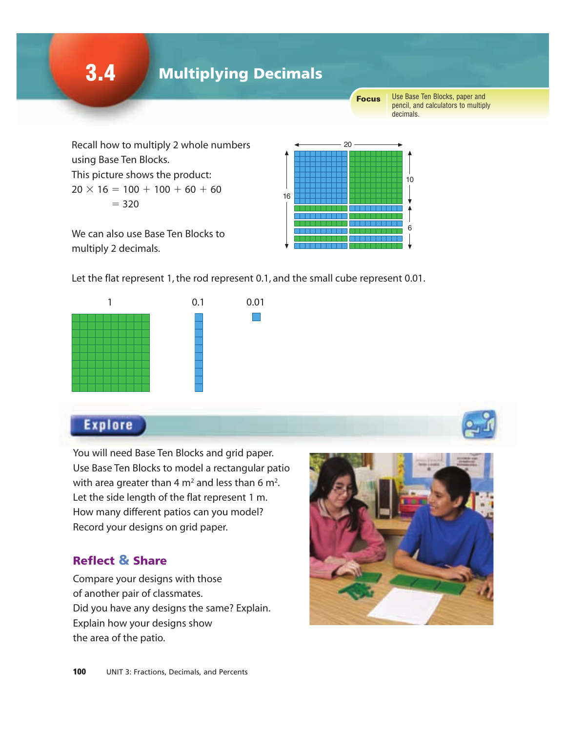3.4 Multiplying Decimals

Focus

Use Base Ten Blocks, paper and pencil, and calculators to multiply decimals.

Recall how to multiply 2 whole numbers using Base Ten Blocks. This picture shows the product:  $20 \times 16 = 100 + 100 + 60 + 60$  $= 320$ 



We can also use Base Ten Blocks to multiply 2 decimals.

Let the flat represent 1, the rod represent 0.1, and the small cube represent 0.01.





You will need Base Ten Blocks and grid paper. Use Base Ten Blocks to model a rectangular patio with area greater than 4 m<sup>2</sup> and less than 6 m<sup>2</sup>. Let the side length of the flat represent 1 m. How many different patios can you model? Record your designs on grid paper.

## Reflect & Share

Compare your designs with those of another pair of classmates. Did you have any designs the same? Explain. Explain how your designs show the area of the patio.

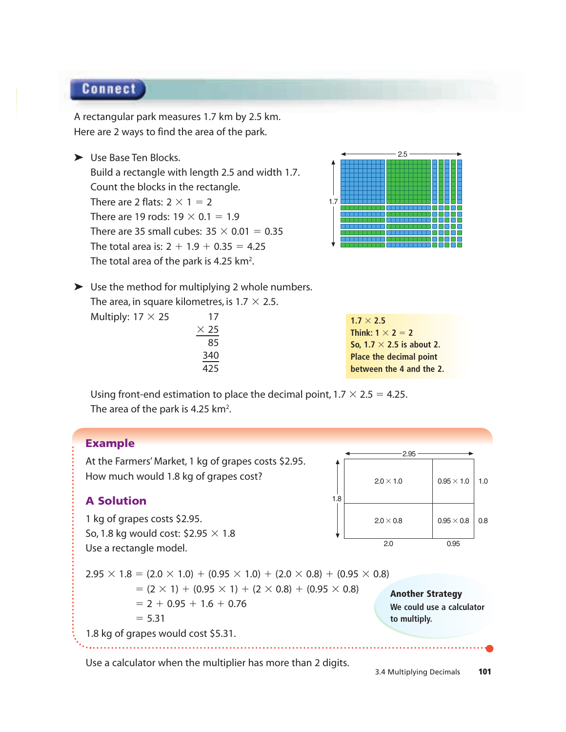## **Connect**

A rectangular park measures 1.7 km by 2.5 km. Here are 2 ways to find the area of the park.

► Use Base Ten Blocks.

Build a rectangle with length 2.5 and width 1.7. Count the blocks in the rectangle. There are 2 flats:  $2 \times 1 = 2$ There are 19 rods:  $19 \times 0.1 = 1.9$ There are 35 small cubes:  $35 \times 0.01 = 0.35$ The total area is:  $2 + 1.9 + 0.35 = 4.25$ The total area of the park is 4.25  $km<sup>2</sup>$ .



➤ Use the method for multiplying 2 whole numbers. The area, in square kilometres, is 1.7  $\times$  2.5. Multiply:  $17 \times 25$  17



Using front-end estimation to place the decimal point,  $1.7 \times 2.5 = 4.25$ . The area of the park is 4.25 km<sup>2</sup>.

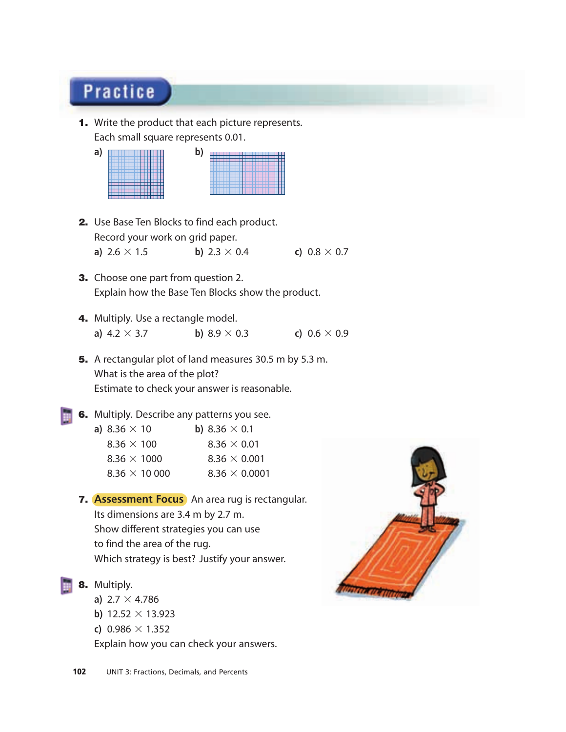## **Practice**

1. Write the product that each picture represents. Each small square represents 0.01.

| a | N, |
|---|----|
|   | ,  |
|   |    |
|   |    |
|   |    |
|   |    |
|   |    |
|   |    |
|   |    |
|   |    |
|   |    |
|   |    |
|   |    |
|   |    |

- 2. Use Base Ten Blocks to find each product. Record your work on grid paper. **a)**  $2.6 \times 1.5$  **b)**  $2.3 \times 0.4$  **c)**  $0.8 \times 0.7$
- **3.** Choose one part from question 2. Explain how the Base Ten Blocks show the product.
- 4. Multiply. Use a rectangle model. **a)**  $4.2 \times 3.7$  **b)**  $8.9 \times 0.3$  **c)**  $0.6 \times 0.9$
- 5. A rectangular plot of land measures 30.5 m by 5.3 m. What is the area of the plot? Estimate to check your answer is reasonable.
- **6.** Multiply. Describe any patterns you see.

| a) 8.36 $\times$ 10 |                      | <b>b</b> ) 8.36 $\times$ 0.1 |                      |
|---------------------|----------------------|------------------------------|----------------------|
| $8.36 \times 100$   |                      | $8.36 \times 0.01$           |                      |
| $8.36 \times 1000$  |                      |                              | $8.36 \times 0.001$  |
|                     | 8.36 $\times$ 10 000 |                              | $8.36 \times 0.0001$ |
|                     |                      |                              |                      |

- 7. **Assessment Focus** An area rug is rectangular. Its dimensions are 3.4 m by 2.7 m. Show different strategies you can use to find the area of the rug. Which strategy is best? Justify your answer.
- 8. Multiply.
	- **a)**  $2.7 \times 4.786$
	- **b)**  $12.52 \times 13.923$
	- **c)**  $0.986 \times 1.352$

Explain how you can check your answers.